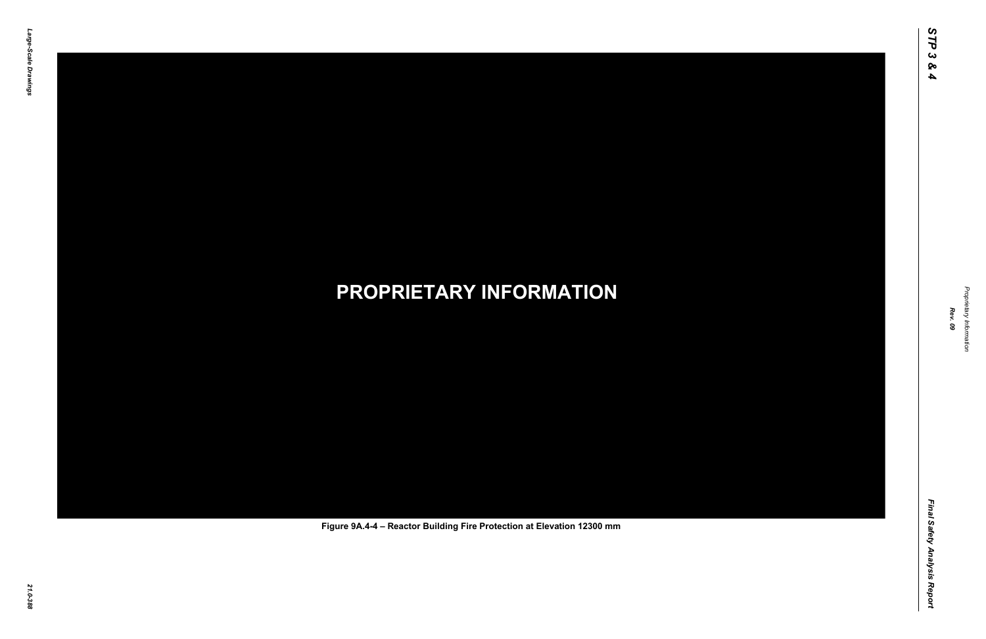Final Safety Analysis Report *Final Safety Analysis Report*



Proprietary Information *Proprietary Information*

# *21.0-388* **PROPRIETARY INFORMATION Figure 9A.4-4 – Reactor Building Fire Protection at Elevation 12300 mm**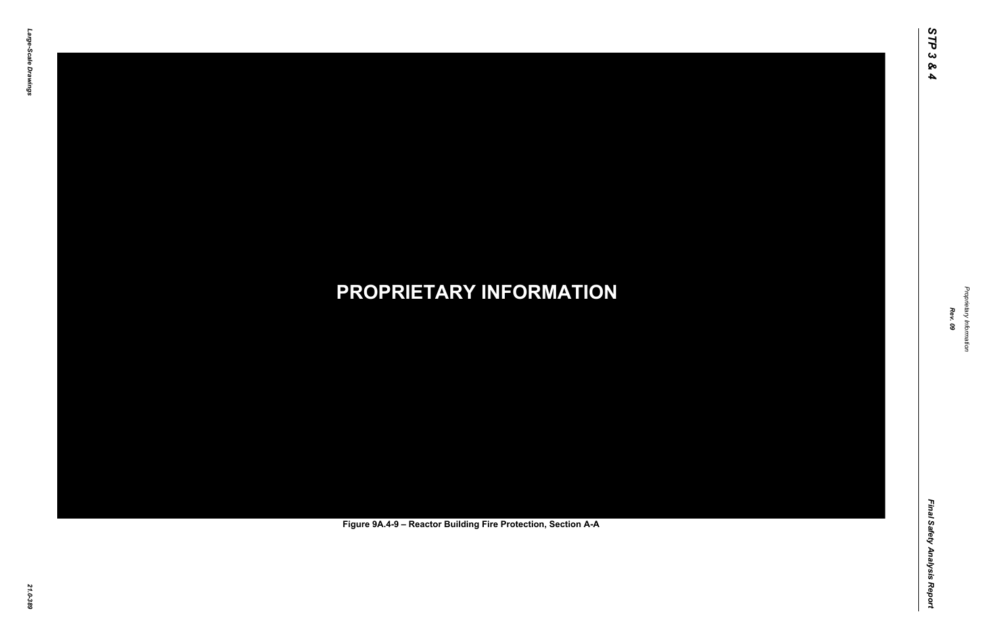Final Safety Analysis Report *Final Safety Analysis Report*



Proprietary Information *Proprietary Information*

# *21.0-389* **PROPRIETARY INFORMATION Figure 9A.4-9 – Reactor Building Fire Protection, Section A-A**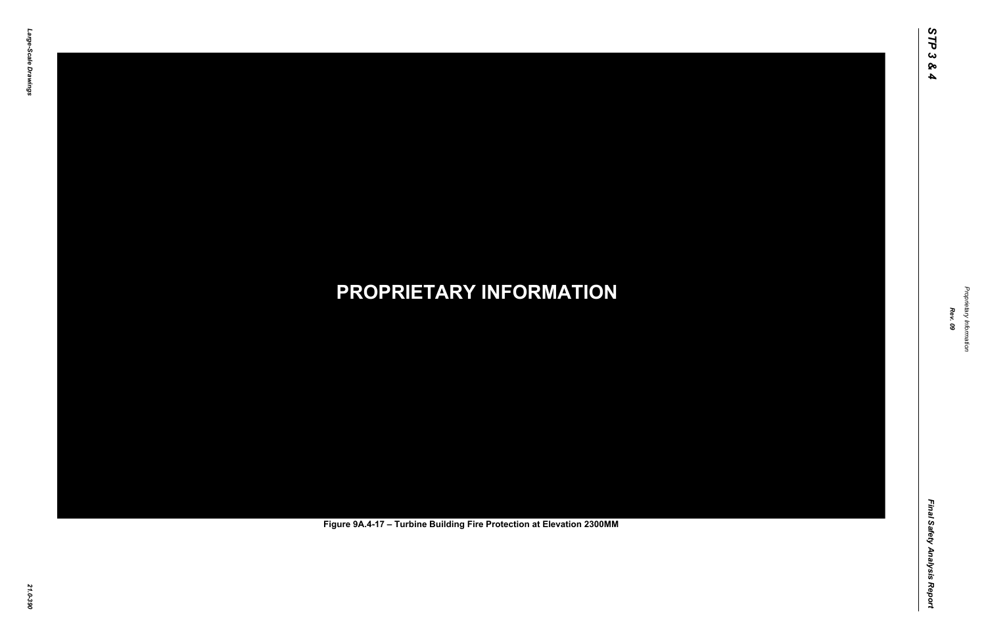Final Safety Analysis Report *Final Safety Analysis Report*



Proprietary Information *Proprietary Information*

# *21.0-390* **PROPRIETARY INFORMATION Figure 9A.4-17 – Turbine Building Fire Protection at Elevation 2300MM**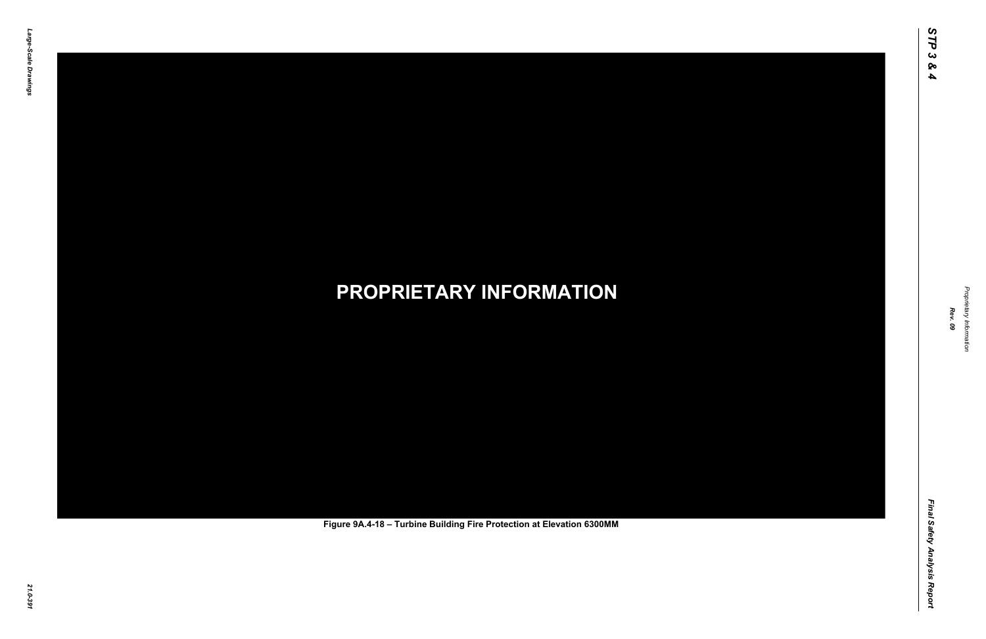Final Safety Analysis Report *Final Safety Analysis Report*



Proprietary Information *Proprietary Information*

# *21.0-391* **PROPRIETARY INFORMATION Figure 9A.4-18 – Turbine Building Fire Protection at Elevation 6300MM**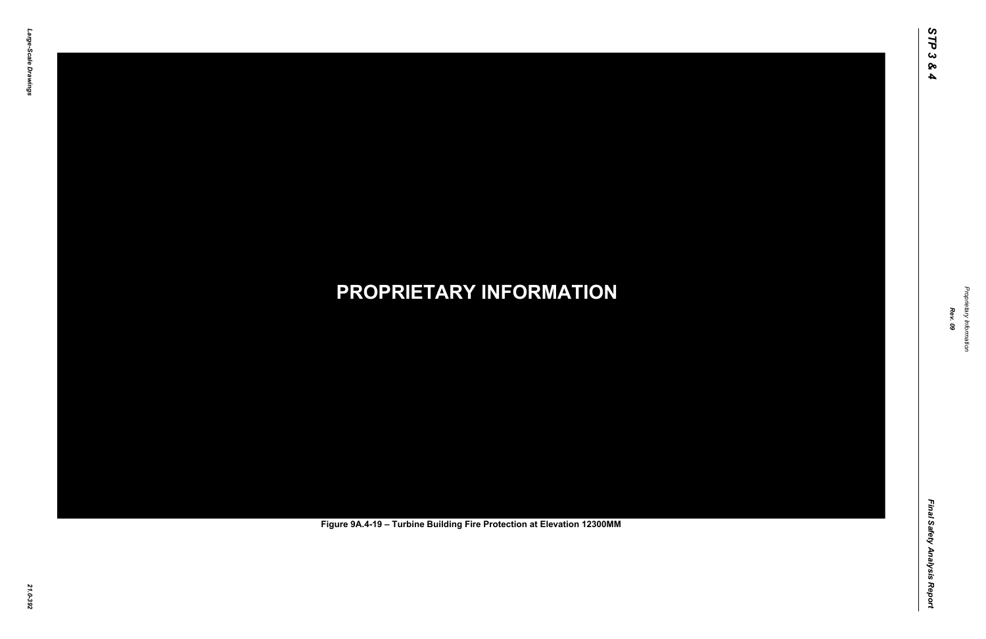Final Safety Analysis Report *Final Safety Analysis Report*



Proprietary Information *Proprietary Information*

# *21.0-392* **PROPRIETARY INFORMATION Figure 9A.4-19 – Turbine Building Fire Protection at Elevation 12300MM**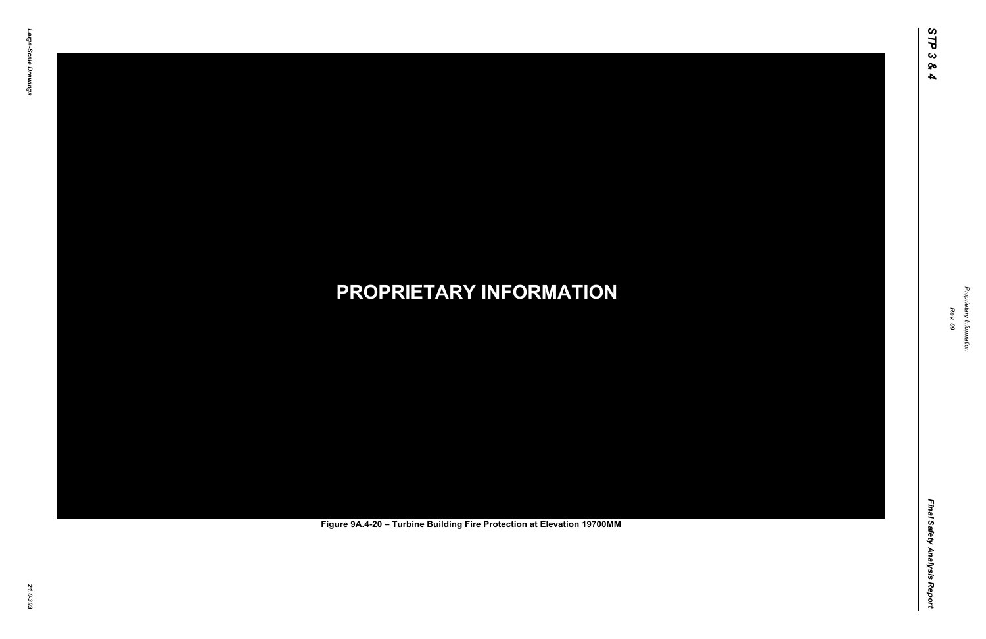Final Safety Analysis Report *Final Safety Analysis Report*



Proprietary Information *Proprietary Information*

# *21.0-393* **PROPRIETARY INFORMATION Figure 9A.4-20 – Turbine Building Fire Protection at Elevation 19700MM**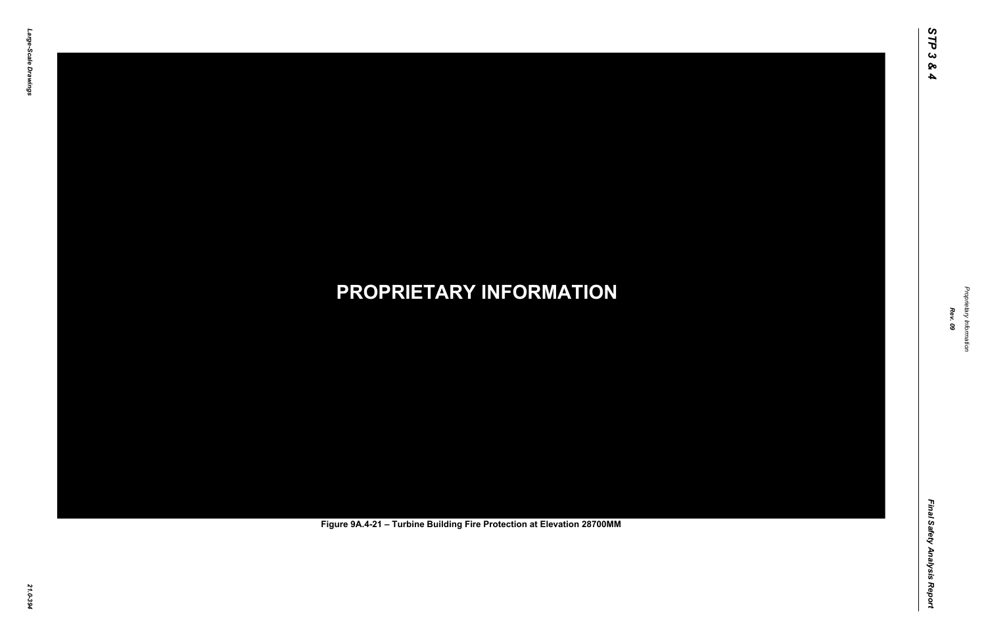Final Safety Analysis Report *Final Safety Analysis Report*



Proprietary Information *Proprietary Information*

# *21.0-394* **PROPRIETARY INFORMATION Figure 9A.4-21 – Turbine Building Fire Protection at Elevation 28700MM**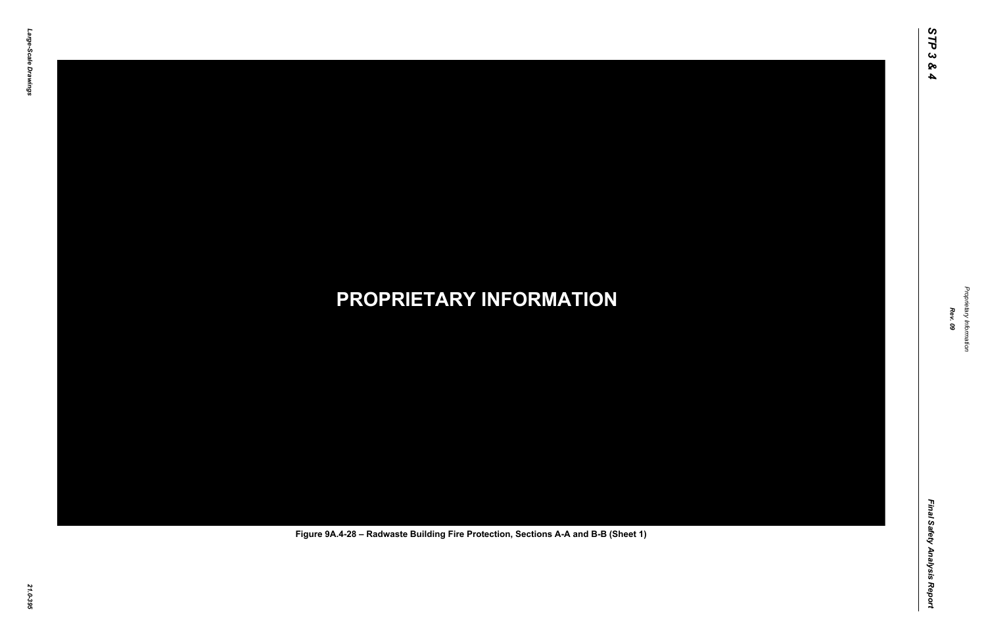

Proprietary Information *Proprietary Information*

### *21.0-395* **PROPRIETARY INFORMATION Figure 9A.4-28 – Radwaste Building Fire Protection, Sections A-A and B-B (Sheet 1)**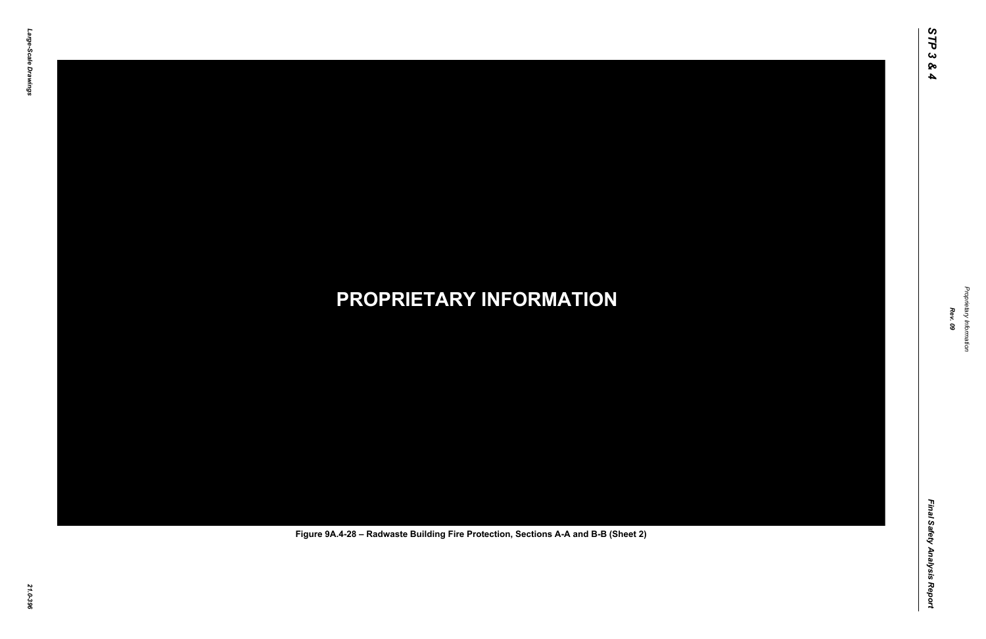

Proprietary Information *Proprietary Information*

### *21.0-396* **PROPRIETARY INFORMATION Figure 9A.4-28 – Radwaste Building Fire Protection, Sections A-A and B-B (Sheet 2)**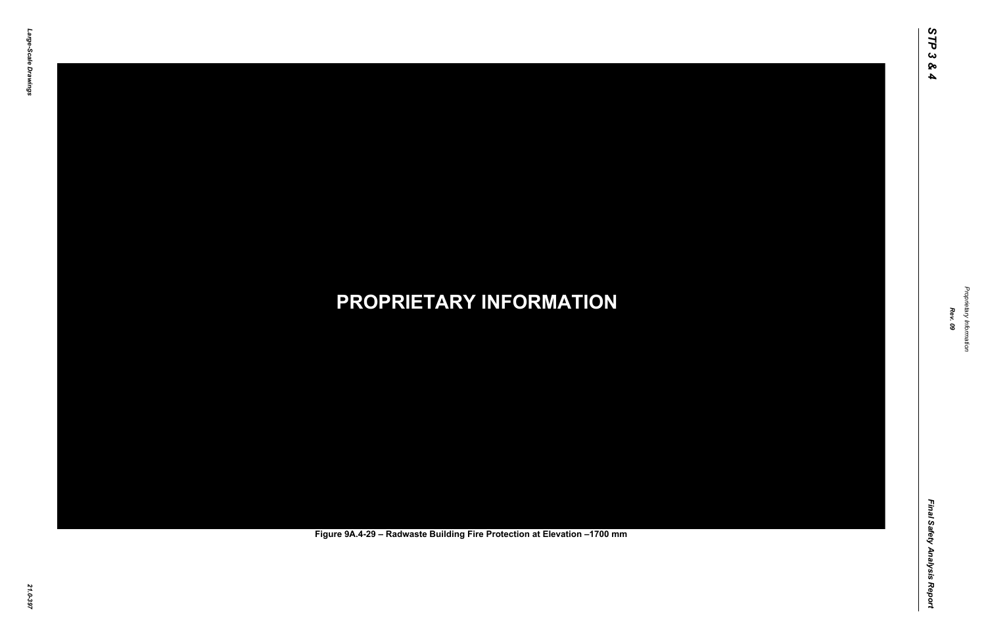

Proprietary Information *Proprietary Information*

### *21.0-397* **PROPRIETARY INFORMATION Figure 9A.4-29 – Radwaste Building Fire Protection at Elevation –1700 mm**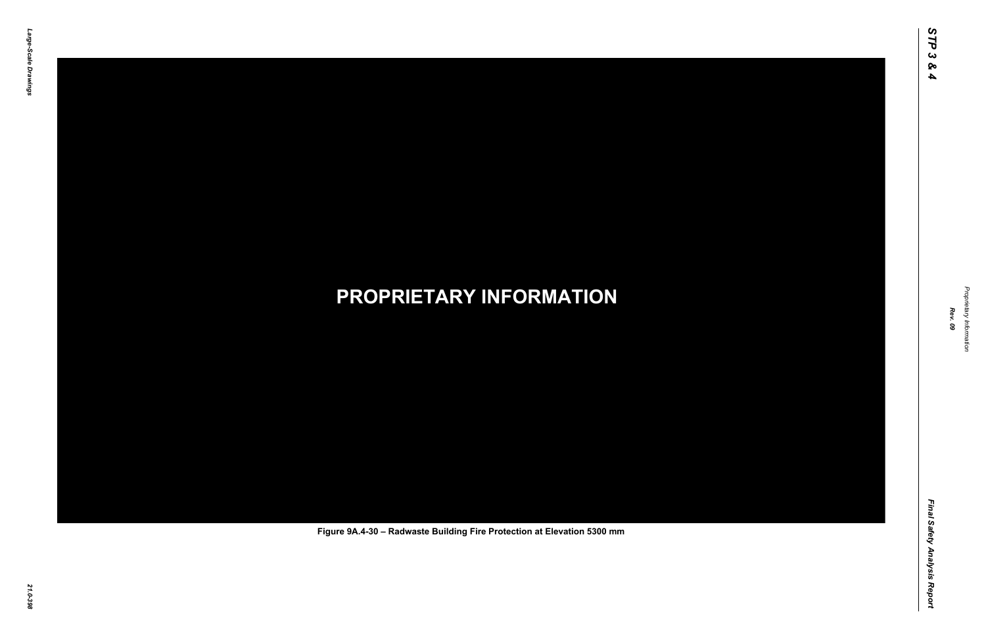Final Safety Analysis Report *Final Safety Analysis Report*



Proprietary Information *Proprietary Information*

### *21.0-398* **PROPRIETARY INFORMATION Figure 9A.4-30 – Radwaste Building Fire Protection at Elevation 5300 mm**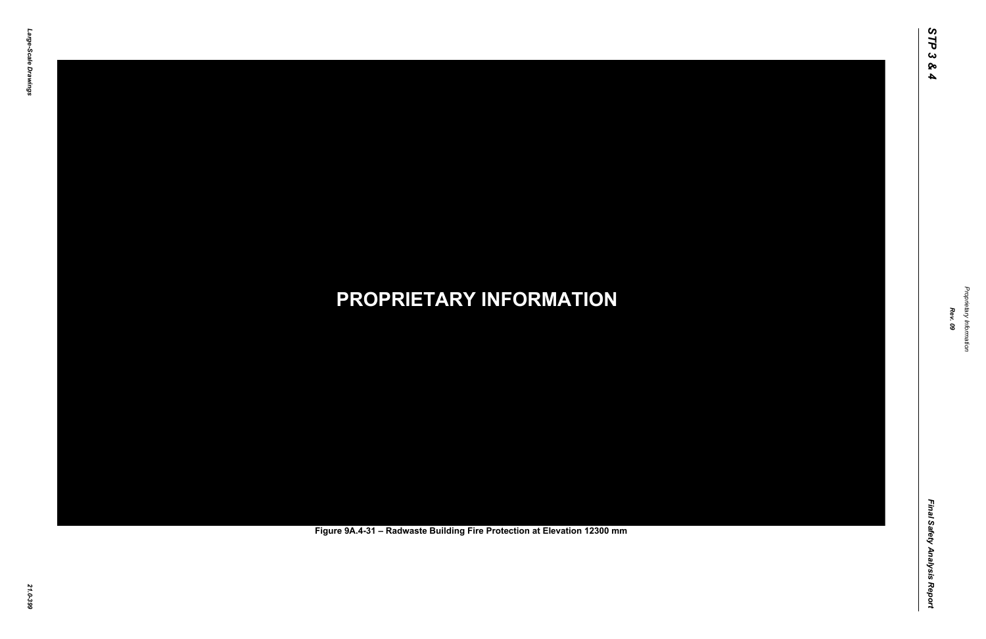

Proprietary Information *Proprietary Information*

### *21.0-399* **PROPRIETARY INFORMATION Figure 9A.4-31 – Radwaste Building Fire Protection at Elevation 12300 mm**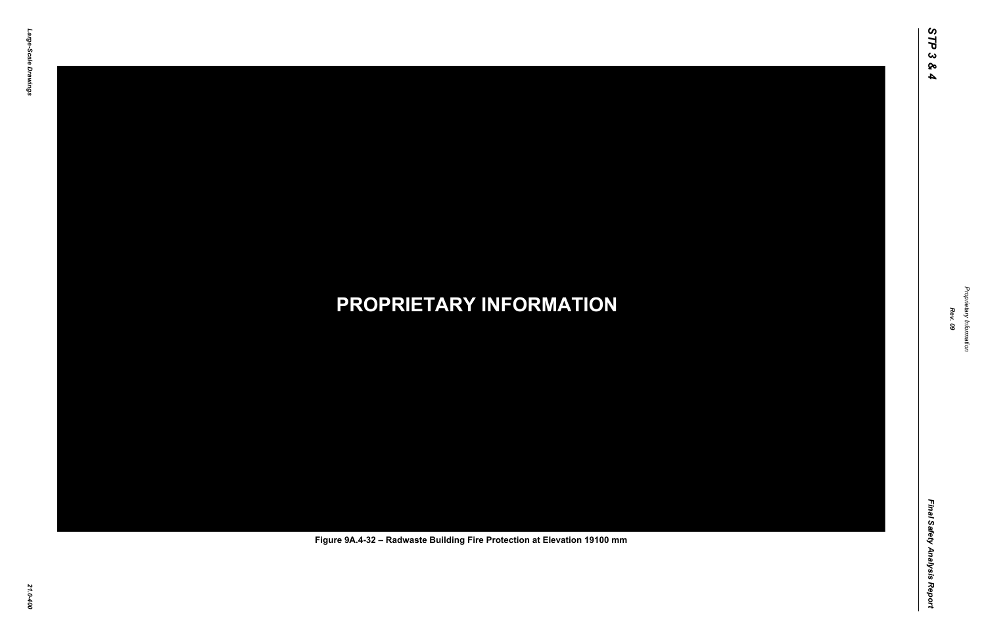Final Safety Analysis Report *Final Safety Analysis Report*



Proprietary Information *Proprietary Information*

#### *21.0-400* **PROPRIETARY INFORMATION Figure 9A.4-32 – Radwaste Building Fire Protection at Elevation 19100 mm**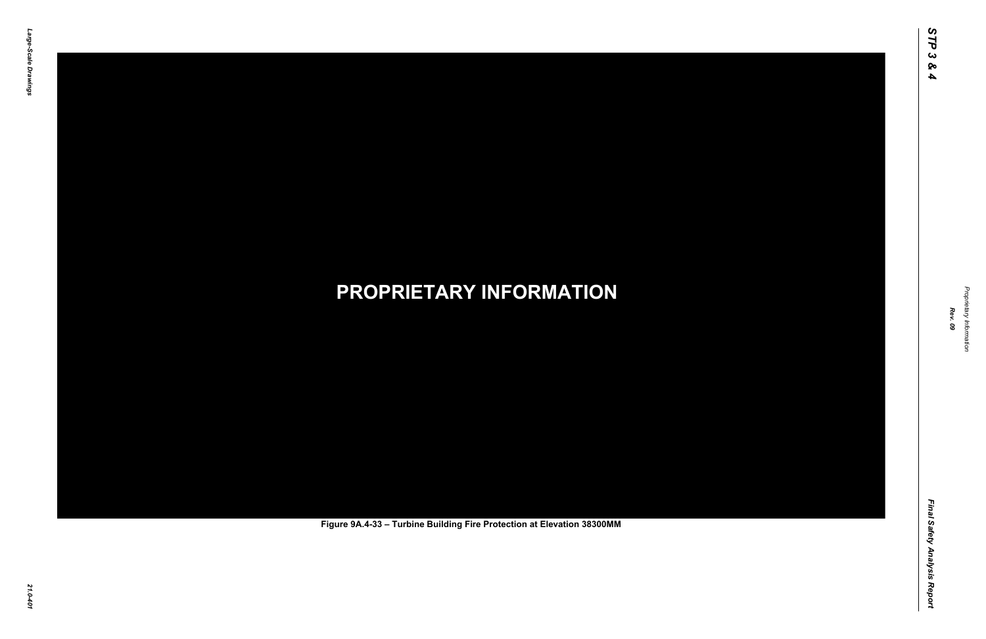Final Safety Analysis Report *Final Safety Analysis Report*



Proprietary Information *Proprietary Information*

# *21.0-401* **PROPRIETARY INFORMATION Figure 9A.4-33 – Turbine Building Fire Protection at Elevation 38300MM**